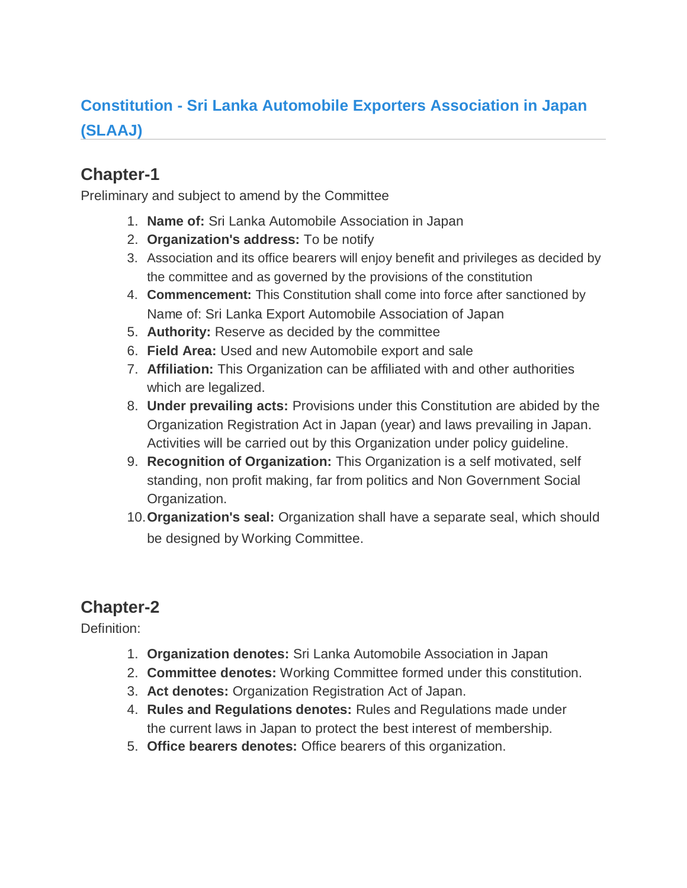# **Constitution - Sri Lanka Automobile Exporters Association in Japan (SLAAJ)**

### **Chapter-1**

Preliminary and subject to amend by the Committee

- 1. **Name of:** Sri Lanka Automobile Association in Japan
- 2. **Organization's address:** To be notify
- 3. Association and its office bearers will enjoy benefit and privileges as decided by the committee and as governed by the provisions of the constitution
- 4. **Commencement:** This Constitution shall come into force after sanctioned by Name of: Sri Lanka Export Automobile Association of Japan
- 5. **Authority:** Reserve as decided by the committee
- 6. **Field Area:** Used and new Automobile export and sale
- 7. **Affiliation:** This Organization can be affiliated with and other authorities which are legalized.
- 8. **Under prevailing acts:** Provisions under this Constitution are abided by the Organization Registration Act in Japan (year) and laws prevailing in Japan. Activities will be carried out by this Organization under policy guideline.
- 9. **Recognition of Organization:** This Organization is a self motivated, self standing, non profit making, far from politics and Non Government Social Organization.
- 10.**Organization's seal:** Organization shall have a separate seal, which should be designed by Working Committee.

## **Chapter-2**

Definition:

- 1. **Organization denotes:** Sri Lanka Automobile Association in Japan
- 2. **Committee denotes:** Working Committee formed under this constitution.
- 3. **Act denotes:** Organization Registration Act of Japan.
- 4. **Rules and Regulations denotes:** Rules and Regulations made under the current laws in Japan to protect the best interest of membership.
- 5. **Office bearers denotes:** Office bearers of this organization.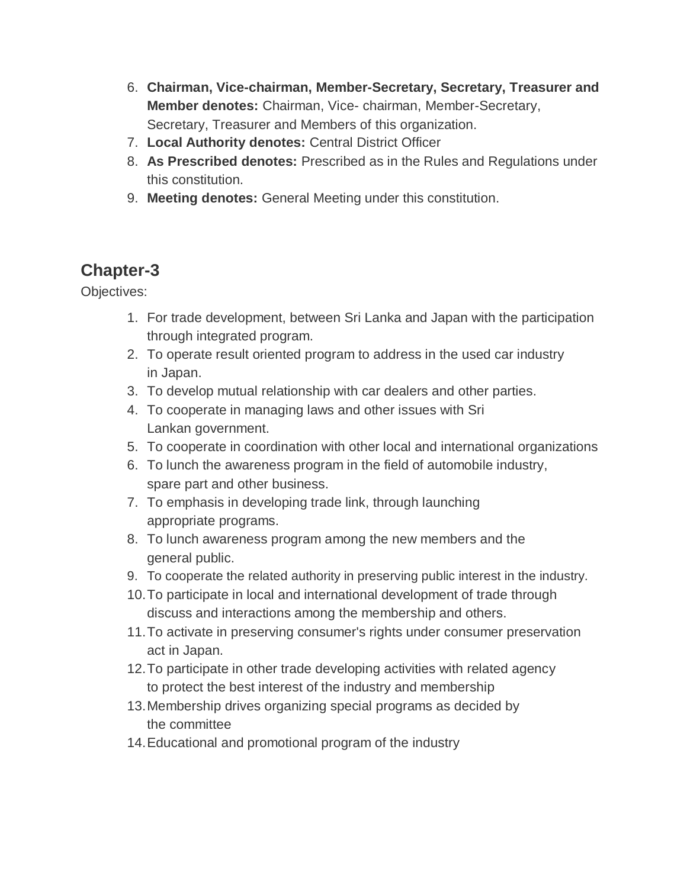- 6. **Chairman, Vice-chairman, Member-Secretary, Secretary, Treasurer and Member denotes:** Chairman, Vice- chairman, Member-Secretary, Secretary, Treasurer and Members of this organization.
- 7. **Local Authority denotes:** Central District Officer
- 8. **As Prescribed denotes:** Prescribed as in the Rules and Regulations under this constitution.
- 9. **Meeting denotes:** General Meeting under this constitution.

Objectives:

- 1. For trade development, between Sri Lanka and Japan with the participation through integrated program.
- 2. To operate result oriented program to address in the used car industry in Japan.
- 3. To develop mutual relationship with car dealers and other parties.
- 4. To cooperate in managing laws and other issues with Sri Lankan government.
- 5. To cooperate in coordination with other local and international organizations
- 6. To lunch the awareness program in the field of automobile industry, spare part and other business.
- 7. To emphasis in developing trade link, through launching appropriate programs.
- 8. To lunch awareness program among the new members and the general public.
- 9. To cooperate the related authority in preserving public interest in the industry.
- 10.To participate in local and international development of trade through discuss and interactions among the membership and others.
- 11.To activate in preserving consumer's rights under consumer preservation act in Japan.
- 12.To participate in other trade developing activities with related agency to protect the best interest of the industry and membership
- 13.Membership drives organizing special programs as decided by the committee
- 14.Educational and promotional program of the industry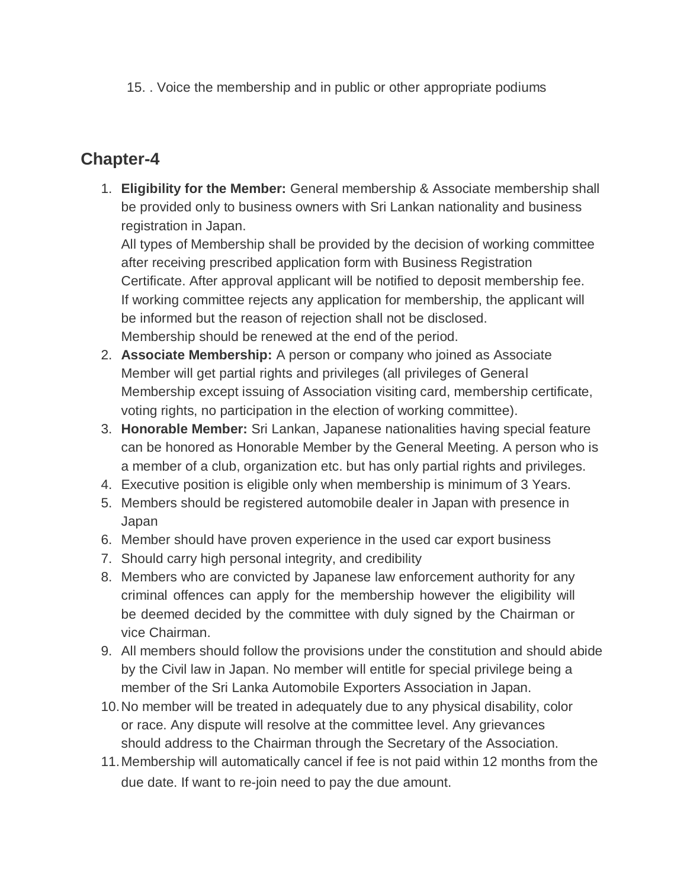15. . Voice the membership and in public or other appropriate podiums

### **Chapter-4**

1. **Eligibility for the Member:** General membership & Associate membership shall be provided only to business owners with Sri Lankan nationality and business registration in Japan.

All types of Membership shall be provided by the decision of working committee after receiving prescribed application form with Business Registration Certificate. After approval applicant will be notified to deposit membership fee. If working committee rejects any application for membership, the applicant will be informed but the reason of rejection shall not be disclosed. Membership should be renewed at the end of the period.

- 2. **Associate Membership:** A person or company who joined as Associate Member will get partial rights and privileges (all privileges of General Membership except issuing of Association visiting card, membership certificate, voting rights, no participation in the election of working committee).
- 3. **Honorable Member:** Sri Lankan, Japanese nationalities having special feature can be honored as Honorable Member by the General Meeting. A person who is a member of a club, organization etc. but has only partial rights and privileges.
- 4. Executive position is eligible only when membership is minimum of 3 Years.
- 5. Members should be registered automobile dealer in Japan with presence in Japan
- 6. Member should have proven experience in the used car export business
- 7. Should carry high personal integrity, and credibility
- 8. Members who are convicted by Japanese law enforcement authority for any criminal offences can apply for the membership however the eligibility will be deemed decided by the committee with duly signed by the Chairman or vice Chairman.
- 9. All members should follow the provisions under the constitution and should abide by the Civil law in Japan. No member will entitle for special privilege being a member of the Sri Lanka Automobile Exporters Association in Japan.
- 10.No member will be treated in adequately due to any physical disability, color or race. Any dispute will resolve at the committee level. Any grievances should address to the Chairman through the Secretary of the Association.
- 11.Membership will automatically cancel if fee is not paid within 12 months from the due date. If want to re-join need to pay the due amount.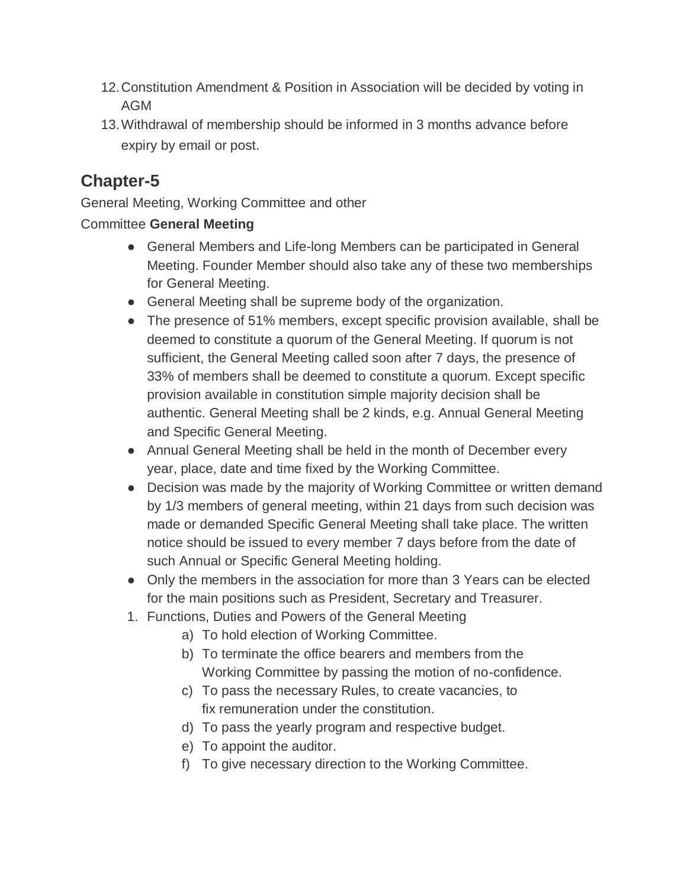- 12.Constitution Amendment & Position in Association will be decided by voting in AGM
- 13.Withdrawal of membership should be informed in 3 months advance before expiry by email or post.

General Meeting, Working Committee and other

#### Committee **General Meeting**

- General Members and Life-long Members can be participated in General Meeting. Founder Member should also take any of these two memberships for General Meeting.
- General Meeting shall be supreme body of the organization.
- The presence of 51% members, except specific provision available, shall be deemed to constitute a quorum of the General Meeting. If quorum is not sufficient, the General Meeting called soon after 7 days, the presence of 33% of members shall be deemed to constitute a quorum. Except specific provision available in constitution simple majority decision shall be authentic. General Meeting shall be 2 kinds, e.g. Annual General Meeting and Specific General Meeting.
- Annual General Meeting shall be held in the month of December every year, place, date and time fixed by the Working Committee.
- Decision was made by the majority of Working Committee or written demand by 1/3 members of general meeting, within 21 days from such decision was made or demanded Specific General Meeting shall take place. The written notice should be issued to every member 7 days before from the date of such Annual or Specific General Meeting holding.
- Only the members in the association for more than 3 Years can be elected for the main positions such as President, Secretary and Treasurer.
- 1. Functions, Duties and Powers of the General Meeting
	- a) To hold election of Working Committee.
	- b) To terminate the office bearers and members from the Working Committee by passing the motion of no-confidence.
	- c) To pass the necessary Rules, to create vacancies, to fix remuneration under the constitution.
	- d) To pass the yearly program and respective budget.
	- e) To appoint the auditor.
	- f) To give necessary direction to the Working Committee.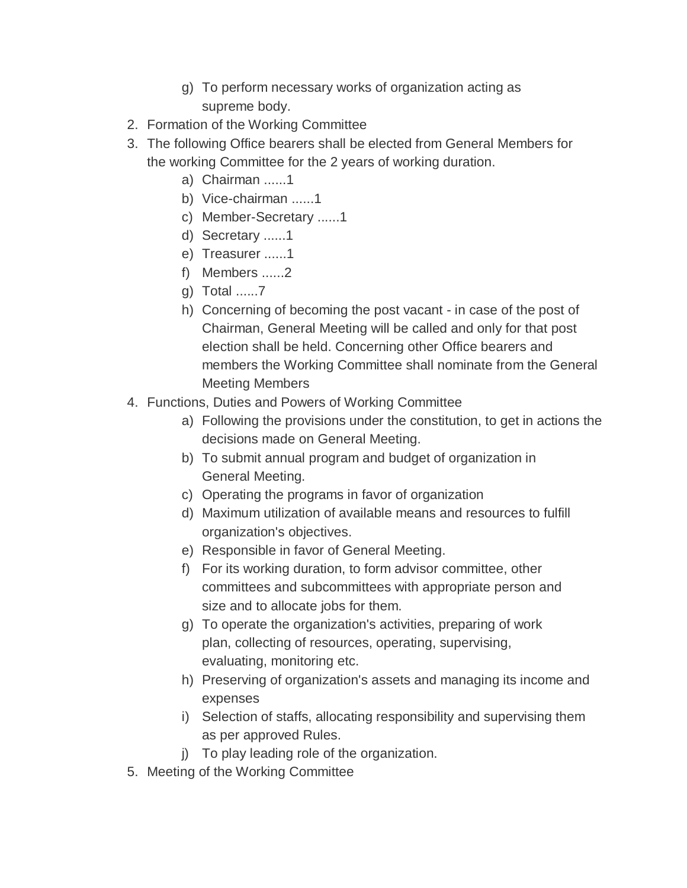- g) To perform necessary works of organization acting as supreme body.
- 2. Formation of the Working Committee
- 3. The following Office bearers shall be elected from General Members for the working Committee for the 2 years of working duration.
	- a) Chairman ......1
	- b) Vice-chairman ......1
	- c) Member-Secretary ......1
	- d) Secretary ......1
	- e) Treasurer ......1
	- f) Members ......2
	- g) Total ......7
	- h) Concerning of becoming the post vacant in case of the post of Chairman, General Meeting will be called and only for that post election shall be held. Concerning other Office bearers and members the Working Committee shall nominate from the General Meeting Members
- 4. Functions, Duties and Powers of Working Committee
	- a) Following the provisions under the constitution, to get in actions the decisions made on General Meeting.
	- b) To submit annual program and budget of organization in General Meeting.
	- c) Operating the programs in favor of organization
	- d) Maximum utilization of available means and resources to fulfill organization's objectives.
	- e) Responsible in favor of General Meeting.
	- f) For its working duration, to form advisor committee, other committees and subcommittees with appropriate person and size and to allocate jobs for them.
	- g) To operate the organization's activities, preparing of work plan, collecting of resources, operating, supervising, evaluating, monitoring etc.
	- h) Preserving of organization's assets and managing its income and expenses
	- i) Selection of staffs, allocating responsibility and supervising them as per approved Rules.
	- j) To play leading role of the organization.
- 5. Meeting of the Working Committee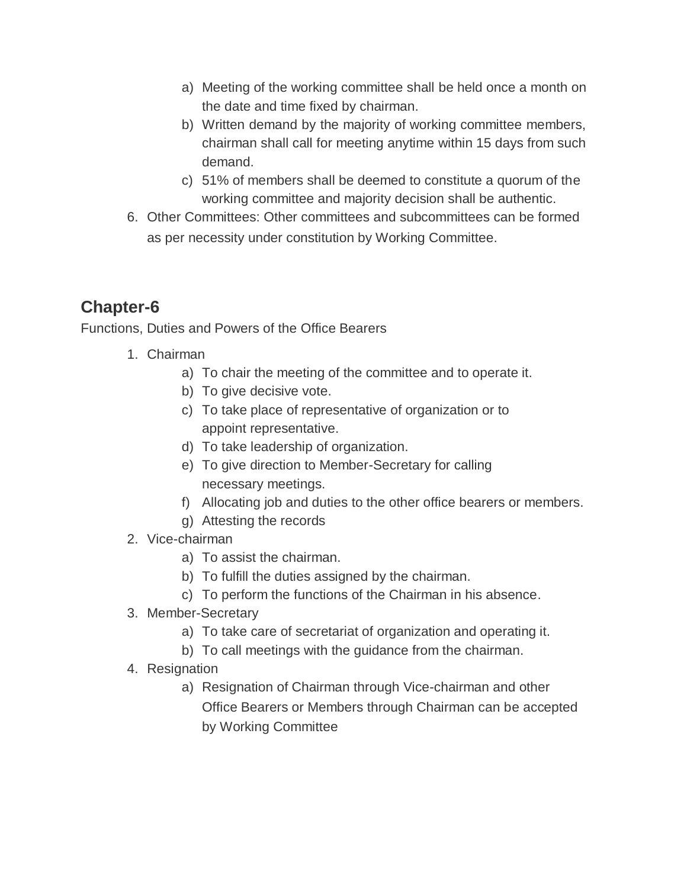- a) Meeting of the working committee shall be held once a month on the date and time fixed by chairman.
- b) Written demand by the majority of working committee members, chairman shall call for meeting anytime within 15 days from such demand.
- c) 51% of members shall be deemed to constitute a quorum of the working committee and majority decision shall be authentic.
- 6. Other Committees: Other committees and subcommittees can be formed as per necessity under constitution by Working Committee.

Functions, Duties and Powers of the Office Bearers

- 1. Chairman
	- a) To chair the meeting of the committee and to operate it.
	- b) To give decisive vote.
	- c) To take place of representative of organization or to appoint representative.
	- d) To take leadership of organization.
	- e) To give direction to Member-Secretary for calling necessary meetings.
	- f) Allocating job and duties to the other office bearers or members.
	- g) Attesting the records
- 2. Vice-chairman
	- a) To assist the chairman.
	- b) To fulfill the duties assigned by the chairman.
	- c) To perform the functions of the Chairman in his absence.
- 3. Member-Secretary
	- a) To take care of secretariat of organization and operating it.
	- b) To call meetings with the guidance from the chairman.
- 4. Resignation
	- a) Resignation of Chairman through Vice-chairman and other Office Bearers or Members through Chairman can be accepted by Working Committee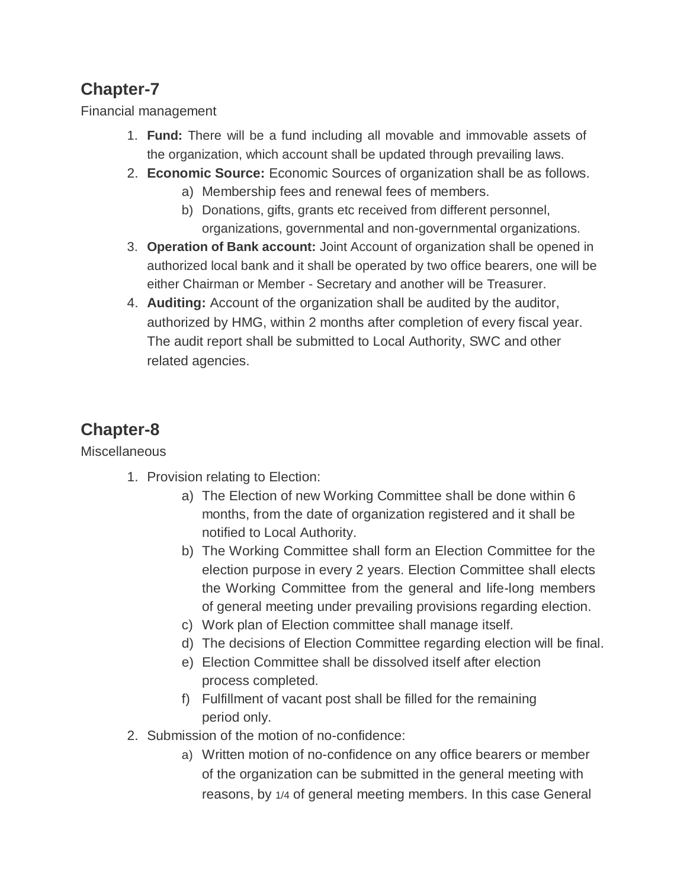Financial management

- 1. **Fund:** There will be a fund including all movable and immovable assets of the organization, which account shall be updated through prevailing laws.
- 2. **Economic Source:** Economic Sources of organization shall be as follows.
	- a) Membership fees and renewal fees of members.
	- b) Donations, gifts, grants etc received from different personnel, organizations, governmental and non-governmental organizations.
- 3. **Operation of Bank account:** Joint Account of organization shall be opened in authorized local bank and it shall be operated by two office bearers, one will be either Chairman or Member - Secretary and another will be Treasurer.
- 4. **Auditing:** Account of the organization shall be audited by the auditor, authorized by HMG, within 2 months after completion of every fiscal year. The audit report shall be submitted to Local Authority, SWC and other related agencies.

# **Chapter-8**

**Miscellaneous** 

- 1. Provision relating to Election:
	- a) The Election of new Working Committee shall be done within 6 months, from the date of organization registered and it shall be notified to Local Authority.
	- b) The Working Committee shall form an Election Committee for the election purpose in every 2 years. Election Committee shall elects the Working Committee from the general and life-long members of general meeting under prevailing provisions regarding election.
	- c) Work plan of Election committee shall manage itself.
	- d) The decisions of Election Committee regarding election will be final.
	- e) Election Committee shall be dissolved itself after election process completed.
	- f) Fulfillment of vacant post shall be filled for the remaining period only.
- 2. Submission of the motion of no-confidence:
	- a) Written motion of no-confidence on any office bearers or member of the organization can be submitted in the general meeting with reasons, by 1/4 of general meeting members. In this case General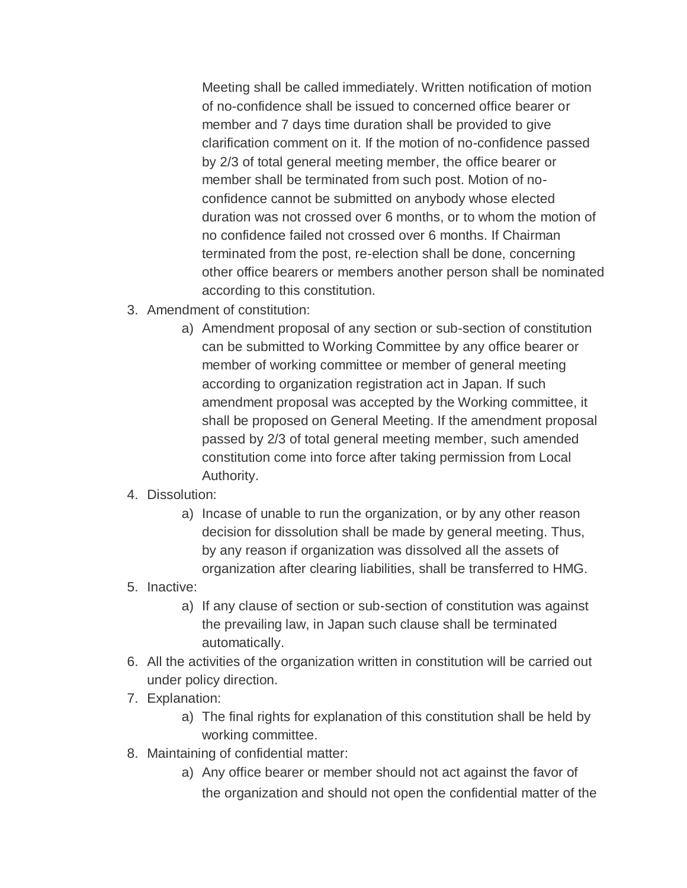Meeting shall be called immediately. Written notification of motion of no-confidence shall be issued to concerned office bearer or member and 7 days time duration shall be provided to give clarification comment on it. If the motion of no-confidence passed by 2/3 of total general meeting member, the office bearer or member shall be terminated from such post. Motion of noconfidence cannot be submitted on anybody whose elected duration was not crossed over 6 months, or to whom the motion of no confidence failed not crossed over 6 months. If Chairman terminated from the post, re-election shall be done, concerning other office bearers or members another person shall be nominated according to this constitution.

- 3. Amendment of constitution:
	- a) Amendment proposal of any section or sub-section of constitution can be submitted to Working Committee by any office bearer or member of working committee or member of general meeting according to organization registration act in Japan. If such amendment proposal was accepted by the Working committee, it shall be proposed on General Meeting. If the amendment proposal passed by 2/3 of total general meeting member, such amended constitution come into force after taking permission from Local Authority.

#### 4. Dissolution:

- a) Incase of unable to run the organization, or by any other reason decision for dissolution shall be made by general meeting. Thus, by any reason if organization was dissolved all the assets of organization after clearing liabilities, shall be transferred to HMG.
- 5. Inactive:
	- a) If any clause of section or sub-section of constitution was against the prevailing law, in Japan such clause shall be terminated automatically.
- 6. All the activities of the organization written in constitution will be carried out under policy direction.
- 7. Explanation:
	- a) The final rights for explanation of this constitution shall be held by working committee.
- 8. Maintaining of confidential matter:
	- a) Any office bearer or member should not act against the favor of the organization and should not open the confidential matter of the